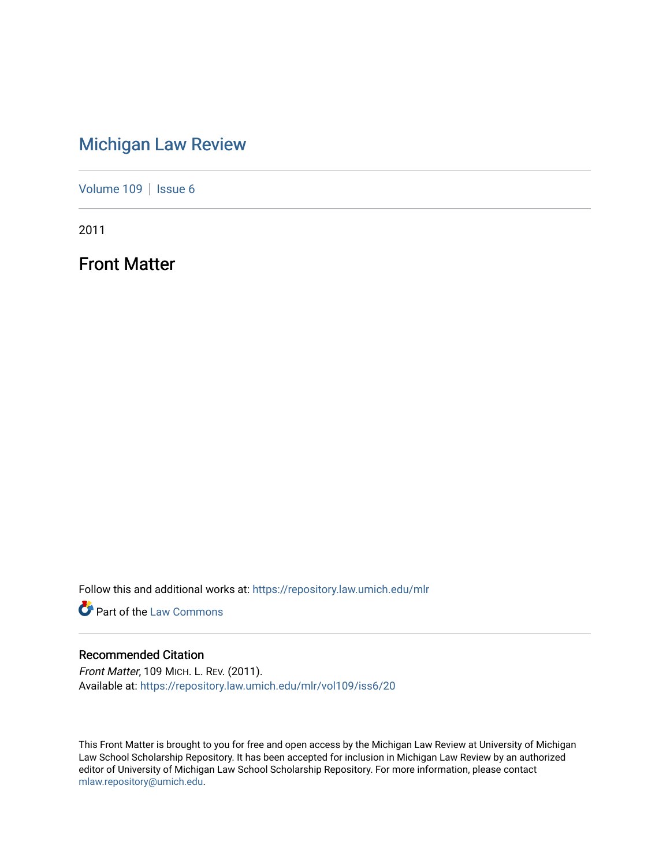## [Michigan Law Review](https://repository.law.umich.edu/mlr)

[Volume 109](https://repository.law.umich.edu/mlr/vol109) | [Issue 6](https://repository.law.umich.edu/mlr/vol109/iss6)

2011

Front Matter

Follow this and additional works at: [https://repository.law.umich.edu/mlr](https://repository.law.umich.edu/mlr?utm_source=repository.law.umich.edu%2Fmlr%2Fvol109%2Fiss6%2F20&utm_medium=PDF&utm_campaign=PDFCoverPages) 

**Part of the [Law Commons](http://network.bepress.com/hgg/discipline/578?utm_source=repository.law.umich.edu%2Fmlr%2Fvol109%2Fiss6%2F20&utm_medium=PDF&utm_campaign=PDFCoverPages)** 

#### Recommended Citation

Front Matter, 109 MICH. L. REV. (2011). Available at: [https://repository.law.umich.edu/mlr/vol109/iss6/20](https://repository.law.umich.edu/mlr/vol109/iss6/20?utm_source=repository.law.umich.edu%2Fmlr%2Fvol109%2Fiss6%2F20&utm_medium=PDF&utm_campaign=PDFCoverPages) 

This Front Matter is brought to you for free and open access by the Michigan Law Review at University of Michigan Law School Scholarship Repository. It has been accepted for inclusion in Michigan Law Review by an authorized editor of University of Michigan Law School Scholarship Repository. For more information, please contact [mlaw.repository@umich.edu.](mailto:mlaw.repository@umich.edu)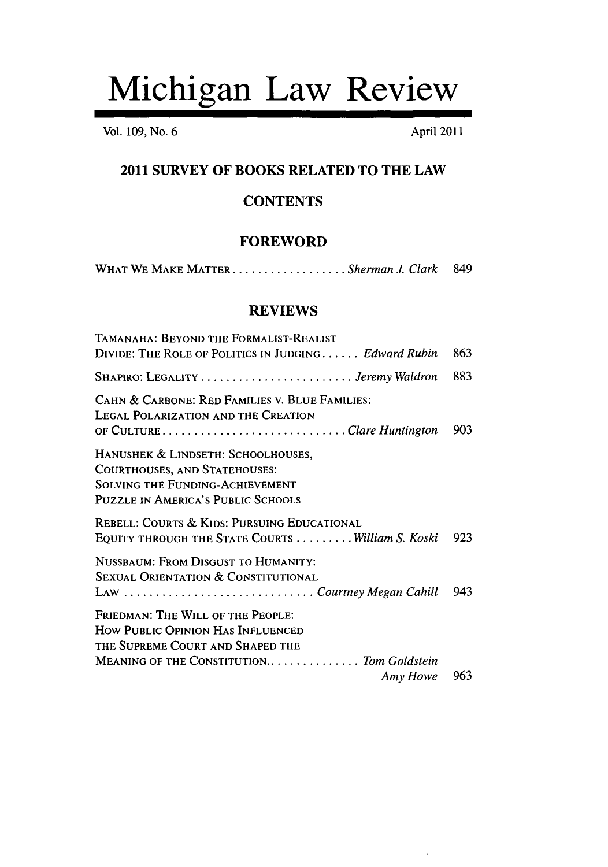# Michigan Law Review

Vol. **109,** No. **6** April 2011

#### 2011 SURVEY OF BOOKS RELATED TO THE LAW

#### **CONTENTS**

#### FOREWORD

WHAT WE MAKE MATTER **..................** *Sherman J. Clark* 849

#### REVIEWS

| TAMANAHA: BEYOND THE FORMALIST-REALIST                                                                                                                         |     |
|----------------------------------------------------------------------------------------------------------------------------------------------------------------|-----|
| DIVIDE: THE ROLE OF POLITICS IN JUDGING Edward Rubin                                                                                                           | 863 |
|                                                                                                                                                                | 883 |
| CAHN & CARBONE: RED FAMILIES V. BLUE FAMILIES:<br><b>LEGAL POLARIZATION AND THE CREATION</b>                                                                   | 903 |
| HANUSHEK & LINDSETH: SCHOOLHOUSES,<br>COURTHOUSES, AND STATEHOUSES:<br><b>SOLVING THE FUNDING-ACHIEVEMENT</b><br><b>PUZZLE IN AMERICA'S PUBLIC SCHOOLS</b>     |     |
| REBELL: COURTS & KIDS: PURSUING EDUCATIONAL<br>EQUITY THROUGH THE STATE COURTS  William S. Koski                                                               | 923 |
| NUSSBAUM: FROM DISGUST TO HUMANITY:<br><b>SEXUAL ORIENTATION &amp; CONSTITUTIONAL</b><br>LAW  Courtney Megan Cahill                                            | 943 |
| FRIEDMAN: THE WILL OF THE PEOPLE:<br><b>HOW PUBLIC OPINION HAS INFLUENCED</b><br>THE SUPREME COURT AND SHAPED THE<br>MEANING OF THE CONSTITUTION Tom Goldstein |     |
| Amy Howe                                                                                                                                                       | 963 |